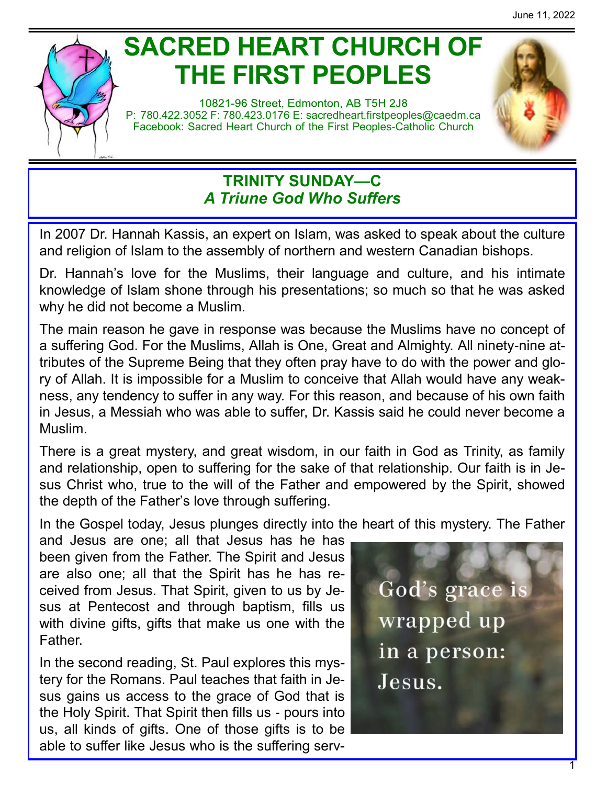

# **SACRED HEART CHURCH OF THE FIRST PEOPLES**

10821-96 Street, Edmonton, AB T5H 2J8 P: 780.422.3052 F: 780.423.0176 E: [sacredheart.](mailto:sacredheart.firstpeoples@caedm.ca)firstpeoples@caedm.ca Facebook: Sacred Heart Church of the First Peoples-Catholic Church



### **TRINITY SUNDAY—C** *A Triune God Who Suffers*

In 2007 Dr. Hannah Kassis, an expert on Islam, was asked to speak about the culture and religion of Islam to the assembly of northern and western Canadian bishops.

Dr. Hannah's love for the Muslims, their language and culture, and his intimate knowledge of Islam shone through his presentations; so much so that he was asked why he did not become a Muslim.

The main reason he gave in response was because the Muslims have no concept of a suffering God. For the Muslims, Allah is One, Great and Almighty. All ninety-nine attributes of the Supreme Being that they often pray have to do with the power and glory of Allah. It is impossible for a Muslim to conceive that Allah would have any weakness, any tendency to suffer in any way. For this reason, and because of his own faith in Jesus, a Messiah who was able to suffer, Dr. Kassis said he could never become a Muslim.

There is a great mystery, and great wisdom, in our faith in God as Trinity, as family and relationship, open to suffering for the sake of that relationship. Our faith is in Jesus Christ who, true to the will of the Father and empowered by the Spirit, showed the depth of the Father's love through suffering.

In the Gospel today, Jesus plunges directly into the heart of this mystery. The Father

and Jesus are one; all that Jesus has he has been given from the Father. The Spirit and Jesus are also one; all that the Spirit has he has received from Jesus. That Spirit, given to us by Jesus at Pentecost and through baptism, fills us with divine gifts, gifts that make us one with the Father.

In the second reading, St. Paul explores this mystery for the Romans. Paul teaches that faith in Jesus gains us access to the grace of God that is the Holy Spirit. That Spirit then fills us - pours into us, all kinds of gifts. One of those gifts is to be able to suffer like Jesus who is the suffering serv-

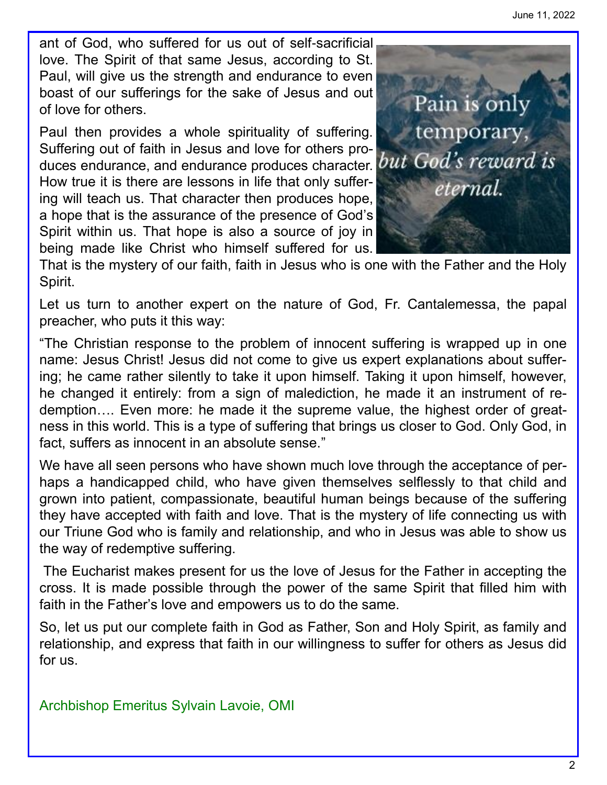ant of God, who suffered for us out of self-sacrificial love. The Spirit of that same Jesus, according to St. Paul, will give us the strength and endurance to even boast of our sufferings for the sake of Jesus and out of love for others.

Paul then provides a whole spirituality of suffering. Suffering out of faith in Jesus and love for others produces endurance, and endurance produces character. but God's reward is How true it is there are lessons in life that only suffering will teach us. That character then produces hope, a hope that is the assurance of the presence of God's Spirit within us. That hope is also a source of joy in being made like Christ who himself suffered for us.



That is the mystery of our faith, faith in Jesus who is one with the Father and the Holy Spirit.

Let us turn to another expert on the nature of God, Fr. Cantalemessa, the papal preacher, who puts it this way:

"The Christian response to the problem of innocent suffering is wrapped up in one name: Jesus Christ! Jesus did not come to give us expert explanations about suffering; he came rather silently to take it upon himself. Taking it upon himself, however, he changed it entirely: from a sign of malediction, he made it an instrument of redemption…. Even more: he made it the supreme value, the highest order of greatness in this world. This is a type of suffering that brings us closer to God. Only God, in fact, suffers as innocent in an absolute sense."

We have all seen persons who have shown much love through the acceptance of perhaps a handicapped child, who have given themselves selflessly to that child and grown into patient, compassionate, beautiful human beings because of the suffering they have accepted with faith and love. That is the mystery of life connecting us with our Triune God who is family and relationship, and who in Jesus was able to show us the way of redemptive suffering.

The Eucharist makes present for us the love of Jesus for the Father in accepting the cross. It is made possible through the power of the same Spirit that filled him with faith in the Father's love and empowers us to do the same.

So, let us put our complete faith in God as Father, Son and Holy Spirit, as family and relationship, and express that faith in our willingness to suffer for others as Jesus did for us.

Archbishop Emeritus Sylvain Lavoie, OMI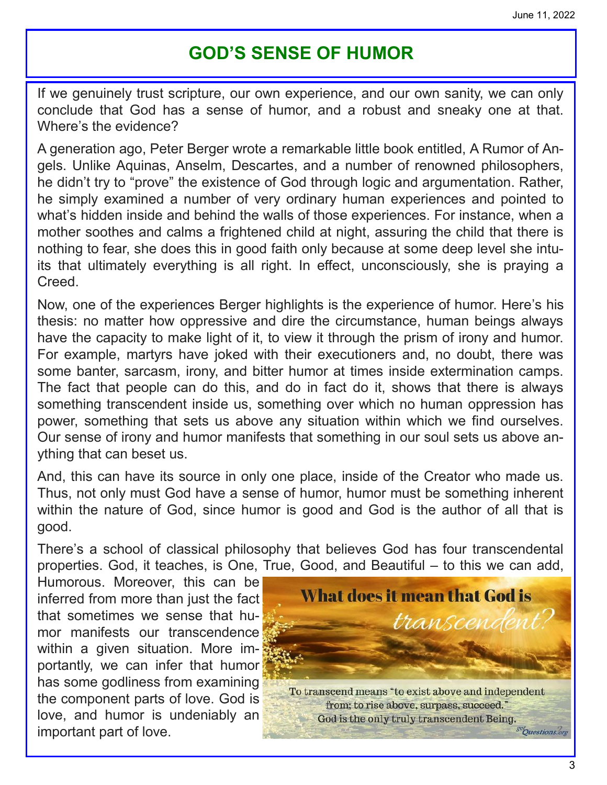## **GOD'S SENSE OF HUMOR**

If we genuinely trust scripture, our own experience, and our own sanity, we can only conclude that God has a sense of humor, and a robust and sneaky one at that. Where's the evidence?

A generation ago, Peter Berger wrote a remarkable little book entitled, A Rumor of Angels. Unlike Aquinas, Anselm, Descartes, and a number of renowned philosophers, he didn't try to "prove" the existence of God through logic and argumentation. Rather, he simply examined a number of very ordinary human experiences and pointed to what's hidden inside and behind the walls of those experiences. For instance, when a mother soothes and calms a frightened child at night, assuring the child that there is nothing to fear, she does this in good faith only because at some deep level she intuits that ultimately everything is all right. In effect, unconsciously, she is praying a Creed.

Now, one of the experiences Berger highlights is the experience of humor. Here's his thesis: no matter how oppressive and dire the circumstance, human beings always have the capacity to make light of it, to view it through the prism of irony and humor. For example, martyrs have joked with their executioners and, no doubt, there was some banter, sarcasm, irony, and bitter humor at times inside extermination camps. The fact that people can do this, and do in fact do it, shows that there is always something transcendent inside us, something over which no human oppression has power, something that sets us above any situation within which we find ourselves. Our sense of irony and humor manifests that something in our soul sets us above anything that can beset us.

And, this can have its source in only one place, inside of the Creator who made us. Thus, not only must God have a sense of humor, humor must be something inherent within the nature of God, since humor is good and God is the author of all that is good.

There's a school of classical philosophy that believes God has four transcendental properties. God, it teaches, is One, True, Good, and Beautiful – to this we can add,

Humorous. Moreover, this can be inferred from more than just the fact that sometimes we sense that humor manifests our transcendence within a given situation. More importantly, we can infer that humor has some godliness from examining the component parts of love. God is love, and humor is undeniably an important part of love.

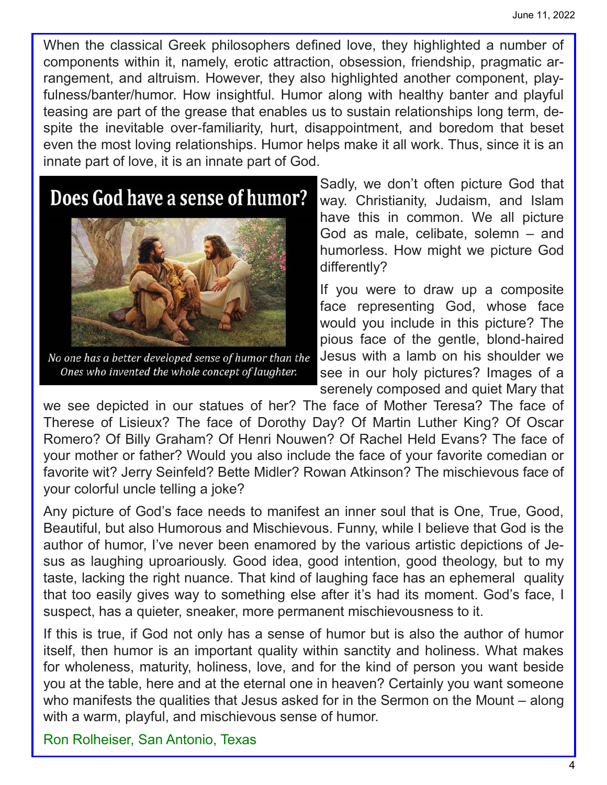When the classical Greek philosophers defined love, they highlighted a number of components within it, namely, erotic attraction, obsession, friendship, pragmatic arrangement, and altruism. However, they also highlighted another component, playfulness/banter/humor. How insightful. Humor along with healthy banter and playful teasing are part of the grease that enables us to sustain relationships long term, despite the inevitable over-familiarity, hurt, disappointment, and boredom that beset even the most loving relationships. Humor helps make it all work. Thus, since it is an innate part of love, it is an innate part of God.

## Does God have a sense of humor?



No one has a better developed sense of humor than the Ones who invented the whole concept of laughter.

Sadly, we don't often picture God that way. Christianity, Judaism, and Islam have this in common. We all picture God as male, celibate, solemn – and humorless. How might we picture God differently?

If you were to draw up a composite face representing God, whose face would you include in this picture? The pious face of the gentle, blond-haired Jesus with a lamb on his shoulder we see in our holy pictures? Images of a serenely composed and quiet Mary that

we see depicted in our statues of her? The face of Mother Teresa? The face of Therese of Lisieux? The face of Dorothy Day? Of Martin Luther King? Of Oscar Romero? Of Billy Graham? Of Henri Nouwen? Of Rachel Held Evans? The face of your mother or father? Would you also include the face of your favorite comedian or favorite wit? Jerry Seinfeld? Bette Midler? Rowan Atkinson? The mischievous face of your colorful uncle telling a joke?

Any picture of God's face needs to manifest an inner soul that is One, True, Good, Beautiful, but also Humorous and Mischievous. Funny, while I believe that God is the author of humor, I've never been enamored by the various artistic depictions of Jesus as laughing uproariously. Good idea, good intention, good theology, but to my taste, lacking the right nuance. That kind of laughing face has an ephemeral quality that too easily gives way to something else after it's had its moment. God's face, I suspect, has a quieter, sneaker, more permanent mischievousness to it.

If this is true, if God not only has a sense of humor but is also the author of humor itself, then humor is an important quality within sanctity and holiness. What makes for wholeness, maturity, holiness, love, and for the kind of person you want beside you at the table, here and at the eternal one in heaven? Certainly you want someone who manifests the qualities that Jesus asked for in the Sermon on the Mount – along with a warm, playful, and mischievous sense of humor.

Ron Rolheiser, San Antonio, Texas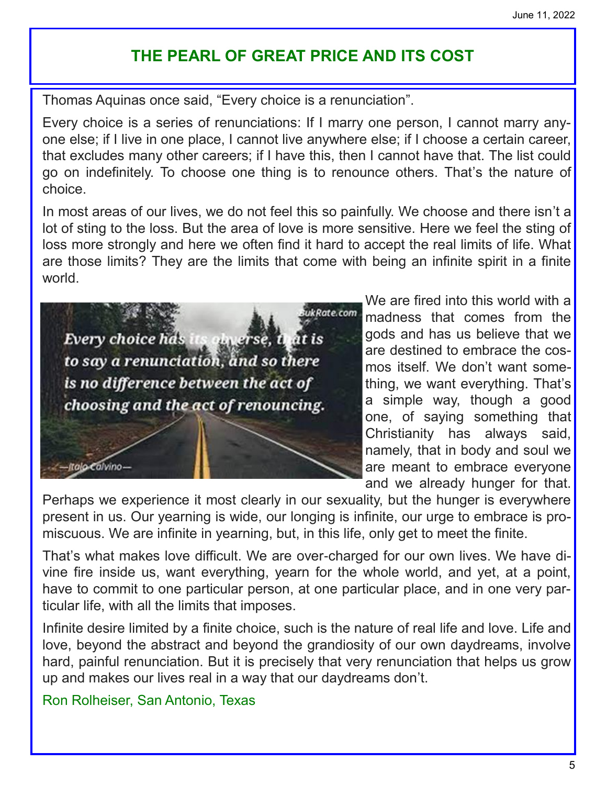## **THE PEARL OF GREAT PRICE AND ITS COST**

Thomas Aquinas once said, "Every choice is a renunciation".

Every choice is a series of renunciations: If I marry one person, I cannot marry anyone else; if I live in one place, I cannot live anywhere else; if I choose a certain career, that excludes many other careers; if I have this, then I cannot have that. The list could go on indefinitely. To choose one thing is to renounce others. That's the nature of choice.

In most areas of our lives, we do not feel this so painfully. We choose and there isn't a lot of sting to the loss. But the area of love is more sensitive. Here we feel the sting of loss more strongly and here we often find it hard to accept the real limits of life. What are those limits? They are the limits that come with being an infinite spirit in a finite world.

ukRate.com Every choice has its obverse, at is to say a renunciation, and so there is no difference between the act of choosing and the act of renouncing.

We are fired into this world with a madness that comes from the gods and has us believe that we are destined to embrace the cosmos itself. We don't want something, we want everything. That's a simple way, though a good one, of saying something that Christianity has always said, namely, that in body and soul we are meant to embrace everyone and we already hunger for that.

Perhaps we experience it most clearly in our sexuality, but the hunger is everywhere present in us. Our yearning is wide, our longing is infinite, our urge to embrace is promiscuous. We are infinite in yearning, but, in this life, only get to meet the finite.

That's what makes love difficult. We are over-charged for our own lives. We have divine fire inside us, want everything, yearn for the whole world, and yet, at a point, have to commit to one particular person, at one particular place, and in one very particular life, with all the limits that imposes.

Infinite desire limited by a finite choice, such is the nature of real life and love. Life and love, beyond the abstract and beyond the grandiosity of our own daydreams, involve hard, painful renunciation. But it is precisely that very renunciation that helps us grow up and makes our lives real in a way that our daydreams don't.

Ron Rolheiser, San Antonio, Texas

italo Calvino-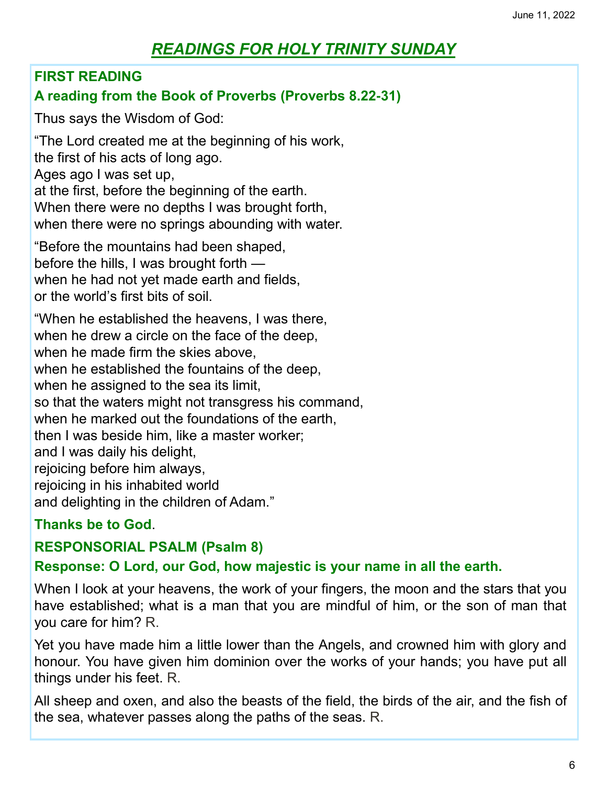## *READINGS FOR HOLY TRINITY SUNDAY*

#### **FIRST READING**

#### **A reading from the Book of Proverbs (Proverbs 8.22-31)**

Thus says the Wisdom of God:

"The Lord created me at the beginning of his work, the first of his acts of long ago. Ages ago I was set up, at the first, before the beginning of the earth. When there were no depths I was brought forth, when there were no springs abounding with water.

"Before the mountains had been shaped, before the hills, I was brought forth when he had not yet made earth and fields, or the world's first bits of soil.

"When he established the heavens, I was there, when he drew a circle on the face of the deep, when he made firm the skies above, when he established the fountains of the deep, when he assigned to the sea its limit, so that the waters might not transgress his command, when he marked out the foundations of the earth, then I was beside him, like a master worker; and I was daily his delight, rejoicing before him always, rejoicing in his inhabited world and delighting in the children of Adam."

#### **Thanks be to God**.

#### **RESPONSORIAL PSALM (Psalm 8)**

#### **Response: O Lord, our God, how majestic is your name in all the earth.**

When I look at your heavens, the work of your fingers, the moon and the stars that you have established; what is a man that you are mindful of him, or the son of man that you care for him? R.

Yet you have made him a little lower than the Angels, and crowned him with glory and honour. You have given him dominion over the works of your hands; you have put all things under his feet. R.

All sheep and oxen, and also the beasts of the field, the birds of the air, and the fish of the sea, whatever passes along the paths of the seas. R.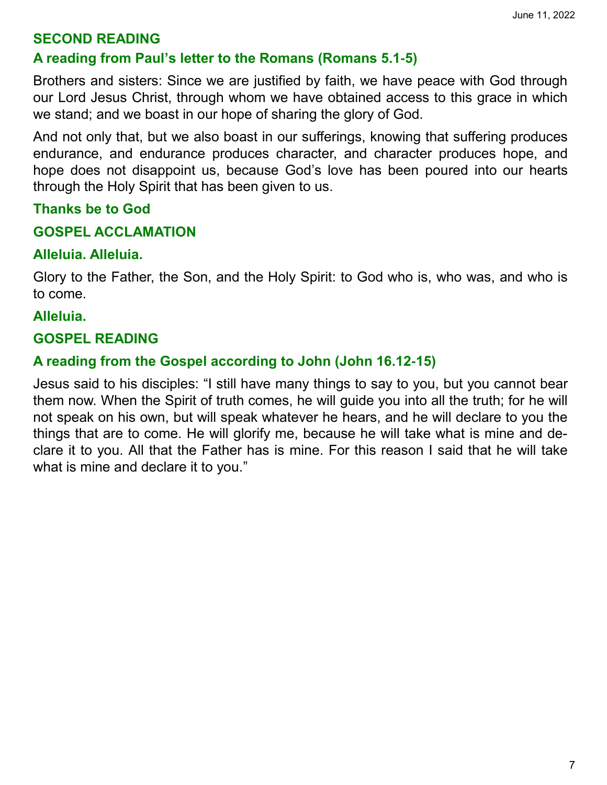#### **SECOND READING**

#### **A reading from Paul's letter to the Romans (Romans 5.1-5)**

Brothers and sisters: Since we are justified by faith, we have peace with God through our Lord Jesus Christ, through whom we have obtained access to this grace in which we stand; and we boast in our hope of sharing the glory of God.

And not only that, but we also boast in our sufferings, knowing that suffering produces endurance, and endurance produces character, and character produces hope, and hope does not disappoint us, because God's love has been poured into our hearts through the Holy Spirit that has been given to us.

#### **Thanks be to God**

#### **GOSPEL ACCLAMATION**

#### **Alleluia. Alleluia.**

Glory to the Father, the Son, and the Holy Spirit: to God who is, who was, and who is to come.

#### **Alleluia.**

#### **GOSPEL READING**

#### **A reading from the Gospel according to John (John 16.12-15)**

Jesus said to his disciples: "I still have many things to say to you, but you cannot bear them now. When the Spirit of truth comes, he will guide you into all the truth; for he will not speak on his own, but will speak whatever he hears, and he will declare to you the things that are to come. He will glorify me, because he will take what is mine and declare it to you. All that the Father has is mine. For this reason I said that he will take what is mine and declare it to you."